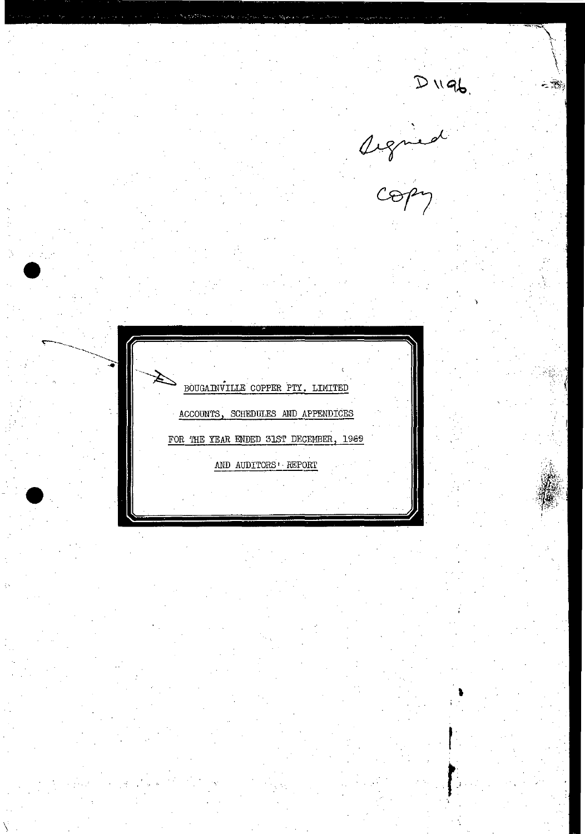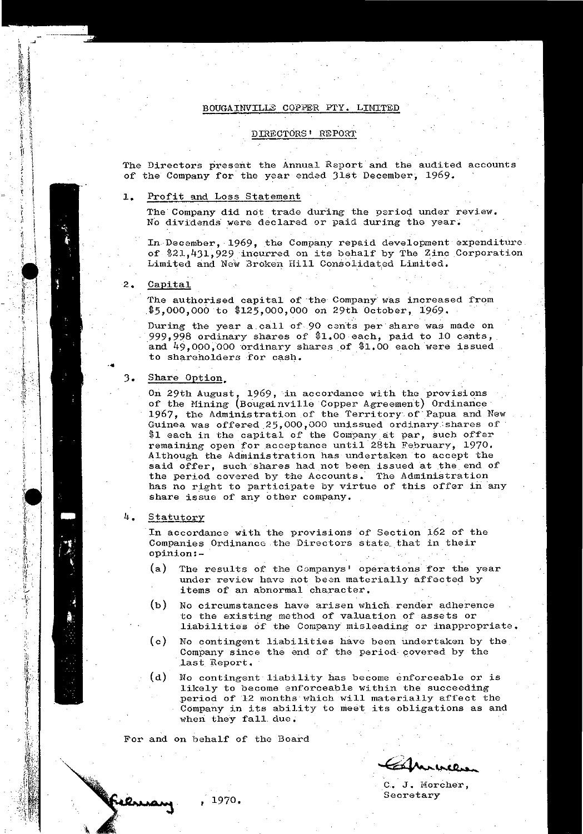## BOUGAINVILLE COPPER PrY. LIMITED

## DIRECTORS' REPORT

The Directors present the Annual Report and the audited accounts of the Company for the year ended 31st December, 1969.

## **1.** Profit and Loss Statement

The Company did not trade during the period under review. No dividends were declared or paid during the year.

In December, 1969, the Company repaid development expenditure. of \$21,431,929 incurred on its behalf by The Zinc Corporation Limited and New Broken Hill Consolidated Limited.

### 2. Capital

The authorised capital of the Company was increased from \$5,000,000 to \$125,000,000 on 29th October, 1969.

During the year a call of 90 cents per share was made on 999,998 ordinary shares of' \$1.00 each, paid to 10 cents, and  $49,000,000$  ordinary shares of \$1.00 each were issued to shareholders for cash.

### 3. Share Option.

On 29th August, 1969, in accordance with the provisions of the Mining (Bougainville Copper Agreement) Ordinance 1967, the Administration of' the Territory of'Papua and New Guinea was offered 25,000,000 unissued ordinary shares of \$1 each in the capital of the Company at par, such offer remaining open for acceptance until 28th February, 1970. Although the Administration has undertaken to accept the said offer, such shares had not been issued at the end of the period covered by the Accounts. The Administration has no right to participate by virtue of this offer in any share issue of any other company.

## 4. Statutory

Jfren

■南京市大学部門は「大学

Ĵ

中国 地

第鉄部

In accordance with the provisions of Section 162 of the Companies Ordinance the Directors state that in their opinion:-

- (a) The results of the Companys' operations for the year under review have not been materially affected by items of an abnormal character.
- (b) No circumstances have arisen which render adherence to the existing method of valUation of assets or liabilities of the Company misleading or inappropriate.
- (c) No contingent liabilities have been undertaken by the Company since the end of the period-covered by the last\_ Report.
- (d) No contingent liability has become enforceable or is likely to become enforceable within the succeeding period of 12 months which will materially affect the Company in its ability to meet its obligations as and when they fall due.

For and on behalf of the Board

 $@1$  munces

C. J. Morcher, Secretary

, 1970,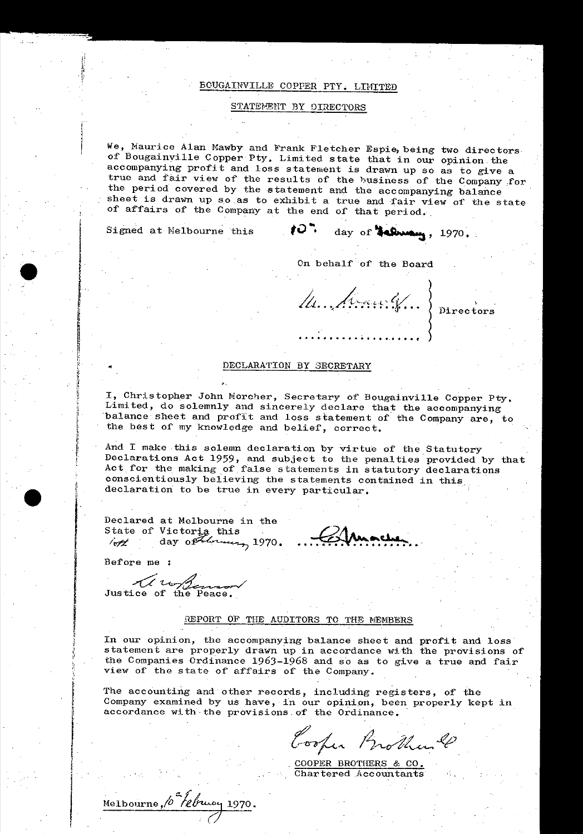## BOUGAINVILLE COPPER PTY. LIMITED

## STATEMENT BY DIRECTORS

We, Maurice Alan Mawby and Frank Fletcher Espie, being two directors of Bougainville Copper Pty. Limited state that in our opinion the accompanying profit and loss statement is drawn up so as to give a true and fair view of the results of the business of the Company for the period covered by the statement and the accompanying balance sheet is drawn up so as to exhibit a true and fair view of the state of affairs of the Company at the end of that period.

Signed at Melbourne this

 $10.7$ day of **Schwarg**, 1970.

On behalf of the Board

M. Arawly...} Directors

## DECLARATION BY SECRETARY

I, Christopher John Morcher, Secretary of Bougainville Copper Pty. Limited, do solemnly and sincerely declare that the accompanying balance sheet and profit and loss statement of the Company are, to the best of my knowledge and belief, correct.

And I make this solemn declaration by virtue of the Statutory Declarations Act 1959, and subject to the penalties provided by that Act for the making of false statements in statutory declarations conscientiously believing the statements contained in this declaration to be true in every particular.

Declared at Melbourne in the 

Before me :

Justice of the Peace.

## REPORT OF THE AUDITORS TO THE MEMBERS

In our opinion, the accompanying balance sheet and profit and loss statement are properly drawn up in accordance with the provisions of the Companies Ordinance 1963-1968 and so as to give a true and fair view of the state of affairs of the Company.

The accounting and other records, including registers, of the Company examined by us have, in our opinion, been properly kept in accordance with the provisions of the Ordinance.

Cooper Brother &

COOPER BROTHERS & CO. Chartered Accountants

Melbourne, 10 Ebruay 1970.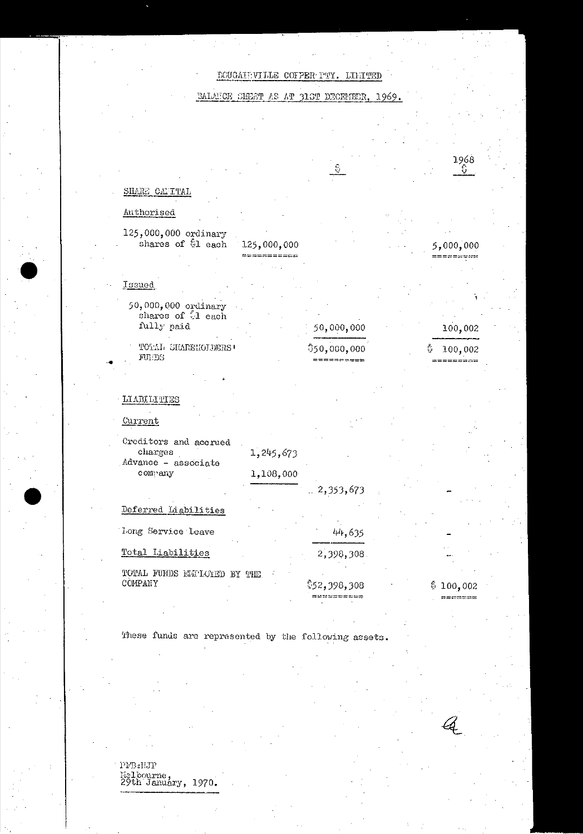## BOUGAIEVILLE COFPER PTY. LIMITED

BALANCE SHEET AS AT 31ST DECEMBER, 1969.



These funds are represented by the following assets.

PFB:NJP Melbourne,<br>29th January, 1970.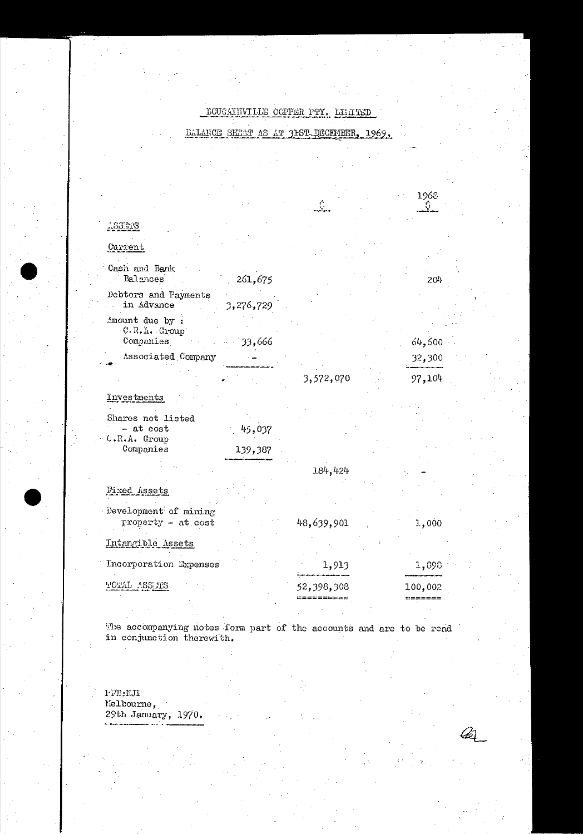#### DOUGAINVILLE COPPER PTY. LILIT TED

#### BALANCE SHEET AS AT 31ST DECEMBER, 1969.

|                                                  |           | $\mathbb{C}^{\times}$           | 1968<br>-93                |  |
|--------------------------------------------------|-----------|---------------------------------|----------------------------|--|
| 1.83.118                                         |           |                                 |                            |  |
|                                                  |           |                                 |                            |  |
| Current                                          |           |                                 |                            |  |
| Cash and Bank<br>Balances                        | 261,675   |                                 | 204                        |  |
| Debtors and Payments<br>in Advance               | 3,276,729 |                                 |                            |  |
| .mount due by :<br>C.R.A. Group                  |           |                                 |                            |  |
| Companies<br>Associated Company                  | 33,666    |                                 | 64,600<br>32,300           |  |
|                                                  |           | 3,572,070                       | 97,104                     |  |
| Investments                                      |           |                                 |                            |  |
| Shares not listed<br>- at cost<br>$C.R.A.$ Group | 45,037    |                                 |                            |  |
| Companies                                        | 139,387   |                                 |                            |  |
|                                                  |           | 184,424                         |                            |  |
| Fixed Assets                                     |           |                                 |                            |  |
| Development of mining<br>property - at cost      |           | 48,639,901                      | 1,000                      |  |
| Intangible Assets                                |           |                                 |                            |  |
| Incorporation Expenses                           |           | 1,913                           | 1,898                      |  |
| TOTAL ASSATS                                     |           | 52,398,308<br>$= = = = = = = =$ | 100,002<br>$m = m = m = m$ |  |
|                                                  |           |                                 |                            |  |

The accompanying notes form part of the accounts and are to be read in conjunction therewith.

 ${\tt l}\text{-}\tt {\tt FB}{:}\tt {\tt MJF}$ Fighbourne,<br>29th January, 1970.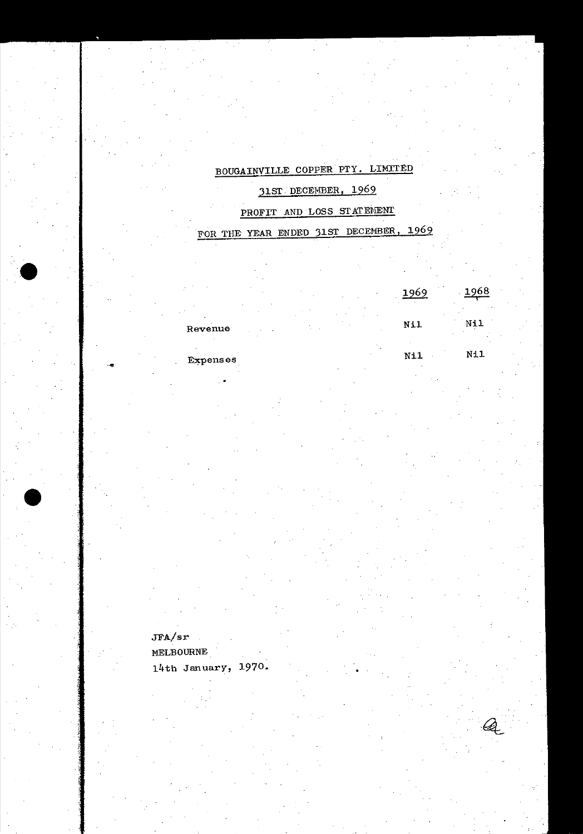# BOUGAINVILLE COPPER PTY. LIMITED

## 31ST DECEMBER, 1969

## PROFIT AND LOSS STATEMENT

# FOR THE YEAR ENDED 31ST DECEMBER, 1969

1968 1969  $N\!$ il  $N11$  $N11$  $Nil$ 

Expenses

Revenue

 $JFA/sr$ 

## MELBOURNE

14th January, 1970.